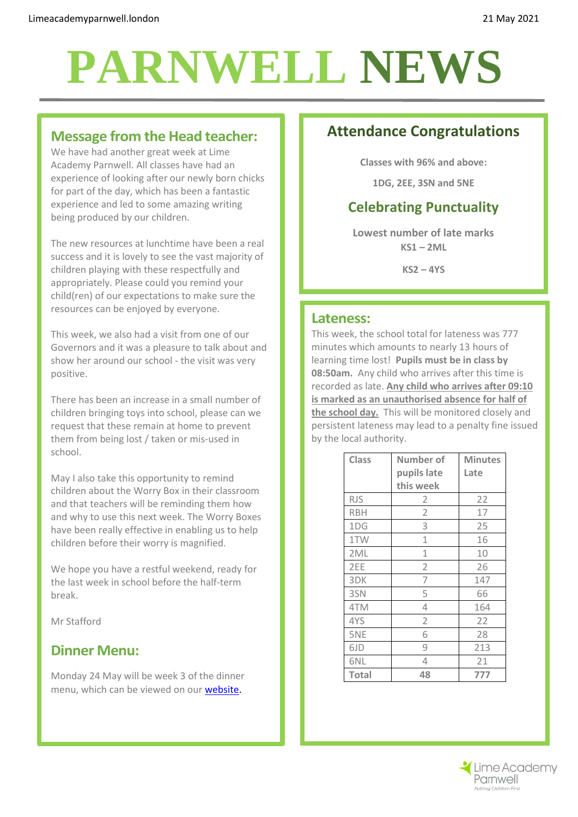# **PARNWELL NEWS**

#### **Message from the Head teacher:**

We have had another great week at Lime Academy Parnwell. All classes have had an experience of looking after our newly born chicks for part of the day, which has been a fantastic experience and led to some amazing writing being produced by our children.

The new resources at lunchtime have been a real success and it is lovely to see the vast majority of children playing with these respectfully and appropriately. Please could you remind your child(ren) of our expectations to make sure the resources can be enjoyed by everyone.

This week, we also had a visit from one of our Governors and it was a pleasure to talk about and show her around our school - the visit was very positive.

There has been an increase in a small number of children bringing toys into school, please can we request that these remain at home to prevent them from being lost / taken or mis-used in school.

May I also take this opportunity to remind children about the Worry Box in their classroom and that teachers will be reminding them how and why to use this next week. The Worry Boxes have been really effective in enabling us to help children before their worry is magnified.

We hope you have a restful weekend, ready for the last week in school before the half-term break.

Mr Stafford

## **Dinner Menu:**

Monday 24 May will be week 3 of the dinner menu, which can be viewed on our [website.](http://limeacademyparnwell.org/media/3932/dinner-menu-2020-09-18.pdf)

# **Attendance Congratulations**

**Classes with 96% and above:**

**1DG, 2EE, 3SN and 5NE**

# **Celebrating Punctuality**

**Lowest number of late marks KS1 – 2ML**

**KS2 – 4YS**

#### **Lateness:**

This week, the school total for lateness was 777 minutes which amounts to nearly 13 hours of learning time lost! **Pupils must be in class by 08:50am.** Any child who arrives after this time is recorded as late. **Any child who arrives after 09:10 is marked as an unauthorised absence for half of the school day.** This will be monitored closely and persistent lateness may lead to a penalty fine issued by the local authority.

| <b>Class</b> | Number of      | <b>Minutes</b> |
|--------------|----------------|----------------|
|              | pupils late    | Late           |
|              | this week      |                |
| <b>RJS</b>   | 2              | 22             |
| <b>RBH</b>   | $\overline{2}$ | 17             |
| 1DG          | 3              | 25             |
| 1TW          | 1              | 16             |
| 2ML          | 1              | 10             |
| 2EE          | 2              | 26             |
| 3DK          | 7              | 147            |
| 3SN          | 5              | 66             |
| 4TM          | 4              | 164            |
| 4YS          | $\overline{2}$ | 22             |
| 5NE          | 6              | 28             |
| 6JD          | 9              | 213            |
| 6NL          | 4              | 21             |
| <b>Total</b> | 48             | 777            |